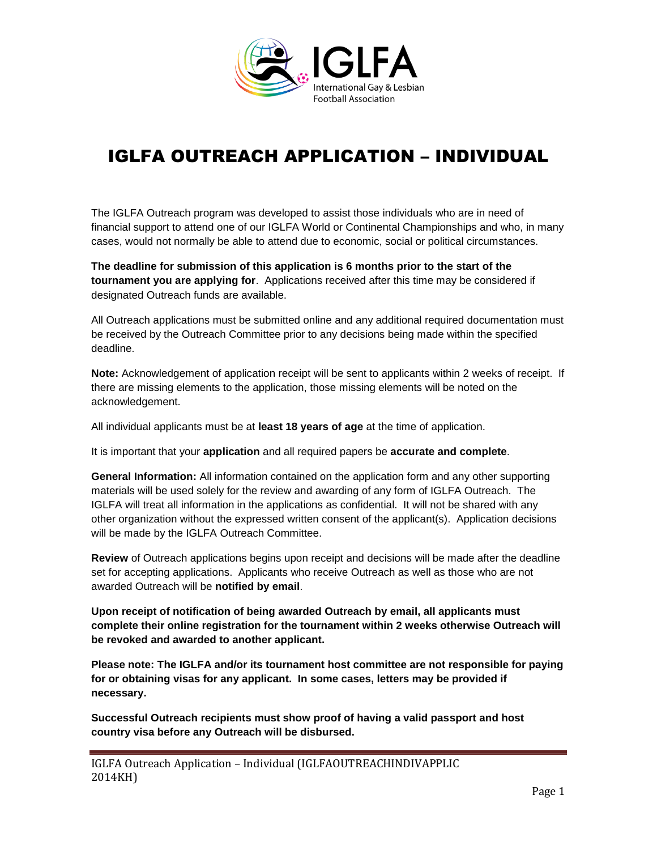

# IGLFA OUTREACH APPLICATION – INDIVIDUAL

The IGLFA Outreach program was developed to assist those individuals who are in need of financial support to attend one of our IGLFA World or Continental Championships and who, in many cases, would not normally be able to attend due to economic, social or political circumstances.

**The deadline for submission of this application is 6 months prior to the start of the tournament you are applying for**. Applications received after this time may be considered if designated Outreach funds are available.

All Outreach applications must be submitted online and any additional required documentation must be received by the Outreach Committee prior to any decisions being made within the specified deadline.

**Note:** Acknowledgement of application receipt will be sent to applicants within 2 weeks of receipt. If there are missing elements to the application, those missing elements will be noted on the acknowledgement.

All individual applicants must be at **least 18 years of age** at the time of application.

It is important that your **application** and all required papers be **accurate and complete**.

**General Information:** All information contained on the application form and any other supporting materials will be used solely for the review and awarding of any form of IGLFA Outreach. The IGLFA will treat all information in the applications as confidential. It will not be shared with any other organization without the expressed written consent of the applicant(s). Application decisions will be made by the IGLFA Outreach Committee.

**Review** of Outreach applications begins upon receipt and decisions will be made after the deadline set for accepting applications. Applicants who receive Outreach as well as those who are not awarded Outreach will be **notified by email**.

**Upon receipt of notification of being awarded Outreach by email, all applicants must complete their online registration for the tournament within 2 weeks otherwise Outreach will be revoked and awarded to another applicant.**

**Please note: The IGLFA and/or its tournament host committee are not responsible for paying for or obtaining visas for any applicant. In some cases, letters may be provided if necessary.** 

**Successful Outreach recipients must show proof of having a valid passport and host country visa before any Outreach will be disbursed.**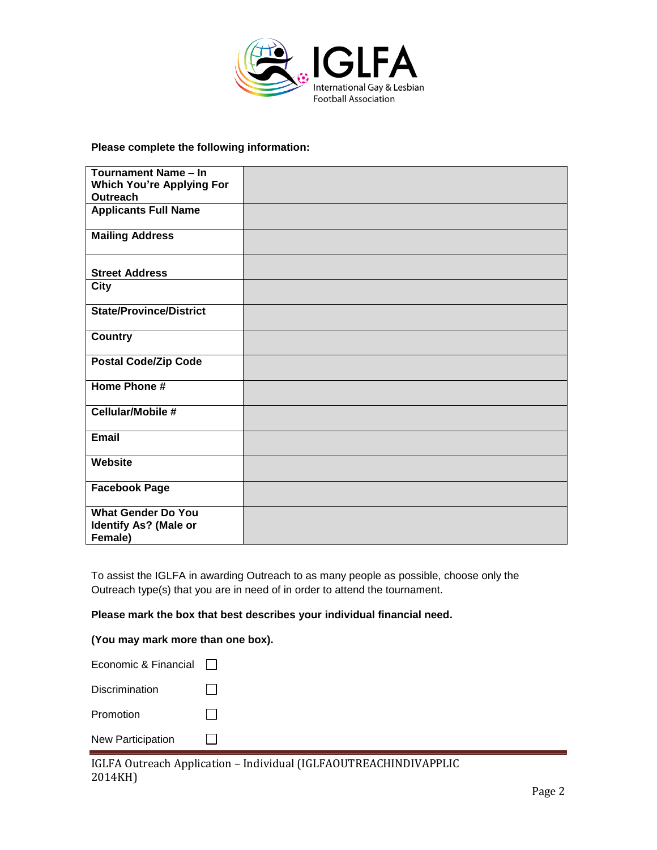

**Please complete the following information:**

| Tournament Name - In             |  |
|----------------------------------|--|
| <b>Which You're Applying For</b> |  |
| <b>Outreach</b>                  |  |
| <b>Applicants Full Name</b>      |  |
| <b>Mailing Address</b>           |  |
| <b>Street Address</b>            |  |
| <b>City</b>                      |  |
| <b>State/Province/District</b>   |  |
| <b>Country</b>                   |  |
| <b>Postal Code/Zip Code</b>      |  |
| Home Phone #                     |  |
| Cellular/Mobile #                |  |
| <b>Email</b>                     |  |
| Website                          |  |
| <b>Facebook Page</b>             |  |
| <b>What Gender Do You</b>        |  |
| <b>Identify As? (Male or</b>     |  |
| Female)                          |  |

To assist the IGLFA in awarding Outreach to as many people as possible, choose only the Outreach type(s) that you are in need of in order to attend the tournament.

**Please mark the box that best describes your individual financial need.**

#### **(You may mark more than one box).**

| Economic & Financial     |  |
|--------------------------|--|
| Discrimination           |  |
| Promotion                |  |
| <b>New Participation</b> |  |

IGLFA Outreach Application – Individual (IGLFAOUTREACHINDIVAPPLIC 2014KH)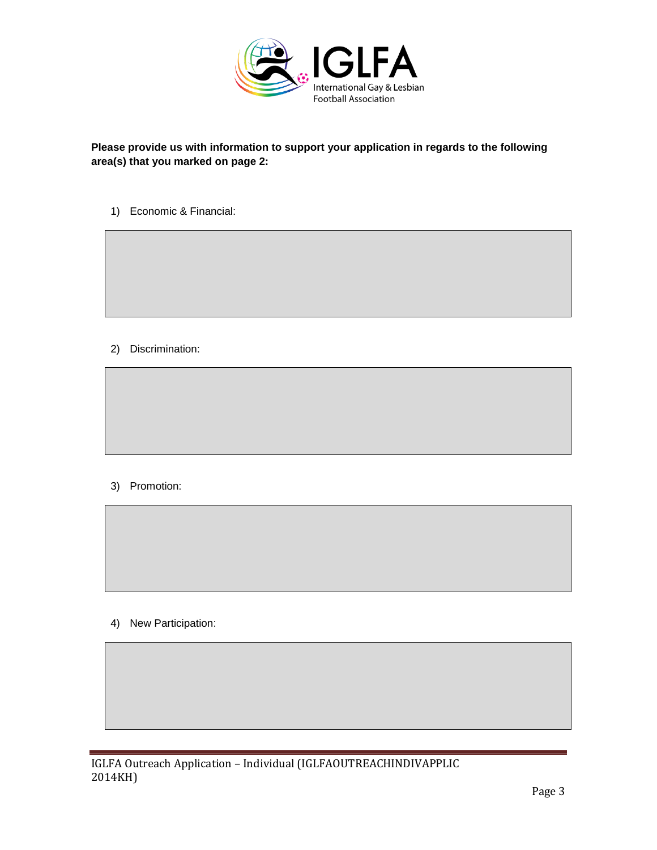

# **Please provide us with information to support your application in regards to the following area(s) that you marked on page 2:**

1) Economic & Financial:

2) Discrimination:

# 3) Promotion:

4) New Participation: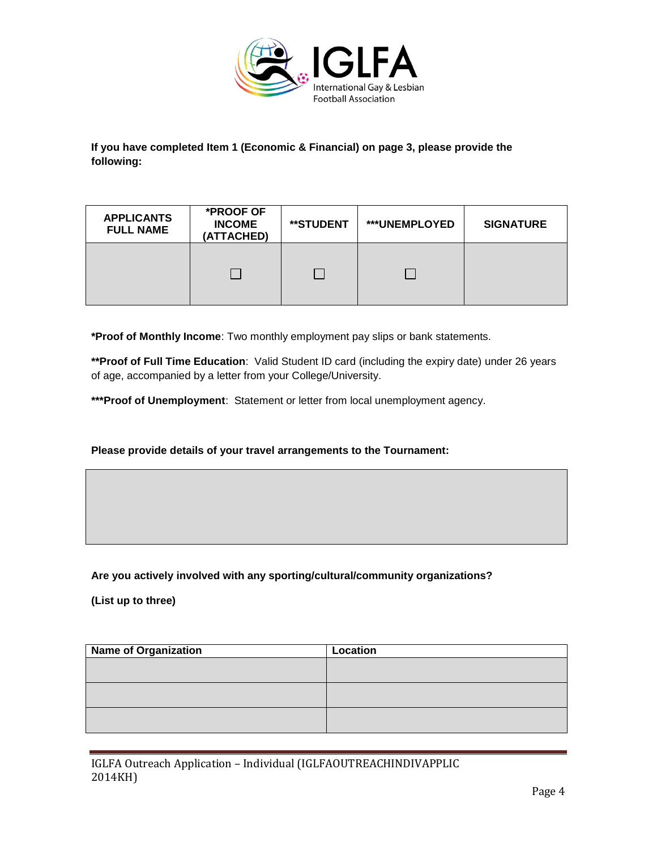

**If you have completed Item 1 (Economic & Financial) on page 3, please provide the following:**

| <b>APPLICANTS</b><br><b>FULL NAME</b> | *PROOF OF<br><b>INCOME</b><br>(ATTACHED) | **STUDENT | <b>***UNEMPLOYED</b> | <b>SIGNATURE</b> |
|---------------------------------------|------------------------------------------|-----------|----------------------|------------------|
|                                       |                                          |           |                      |                  |

**\*Proof of Monthly Income**: Two monthly employment pay slips or bank statements.

**\*\*Proof of Full Time Education**: Valid Student ID card (including the expiry date) under 26 years of age, accompanied by a letter from your College/University.

**\*\*\*Proof of Unemployment**: Statement or letter from local unemployment agency.

## **Please provide details of your travel arrangements to the Tournament:**

## **Are you actively involved with any sporting/cultural/community organizations?**

**(List up to three)**

| <b>Name of Organization</b> | Location |
|-----------------------------|----------|
|                             |          |
|                             |          |
|                             |          |
|                             |          |
|                             |          |
|                             |          |

IGLFA Outreach Application – Individual (IGLFAOUTREACHINDIVAPPLIC 2014KH)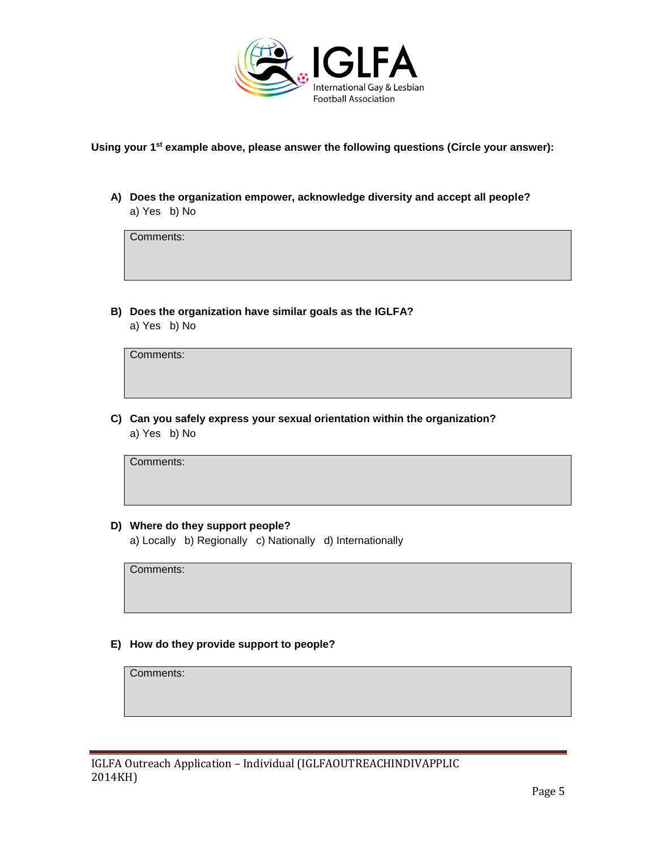

**Using your 1st example above, please answer the following questions (Circle your answer):**

**A) Does the organization empower, acknowledge diversity and accept all people?**  a) Yes b) No

Comments:

**B) Does the organization have similar goals as the IGLFA?** a) Yes b) No

Comments:

**C) Can you safely express your sexual orientation within the organization?** a) Yes b) No

Comments:

## **D) Where do they support people?**

a) Locally b) Regionally c) Nationally d) Internationally

Comments:

## **E) How do they provide support to people?**

Comments: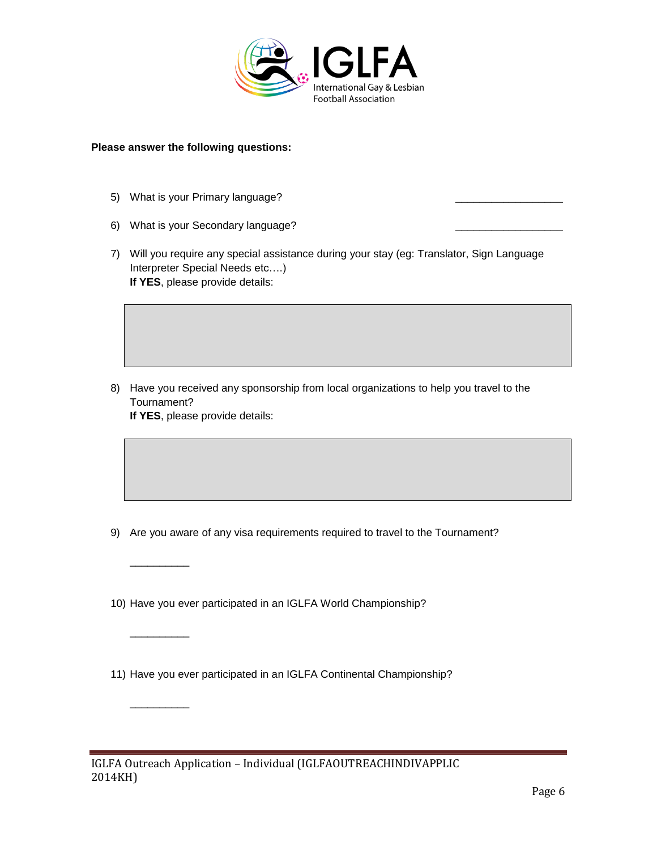

#### **Please answer the following questions:**

5) What is your Primary language?

\_\_\_\_\_\_\_\_\_\_

 $\overline{\phantom{a}}$   $\overline{\phantom{a}}$   $\overline{\phantom{a}}$   $\overline{\phantom{a}}$   $\overline{\phantom{a}}$   $\overline{\phantom{a}}$   $\overline{\phantom{a}}$   $\overline{\phantom{a}}$   $\overline{\phantom{a}}$   $\overline{\phantom{a}}$   $\overline{\phantom{a}}$   $\overline{\phantom{a}}$   $\overline{\phantom{a}}$   $\overline{\phantom{a}}$   $\overline{\phantom{a}}$   $\overline{\phantom{a}}$   $\overline{\phantom{a}}$   $\overline{\phantom{a}}$   $\overline{\$ 

\_\_\_\_\_\_\_\_\_\_

- 6) What is your Secondary language?
- 7) Will you require any special assistance during your stay (eg: Translator, Sign Language Interpreter Special Needs etc….) **If YES**, please provide details:

8) Have you received any sponsorship from local organizations to help you travel to the Tournament? **If YES**, please provide details:

- 9) Are you aware of any visa requirements required to travel to the Tournament?
- 10) Have you ever participated in an IGLFA World Championship?
- 11) Have you ever participated in an IGLFA Continental Championship?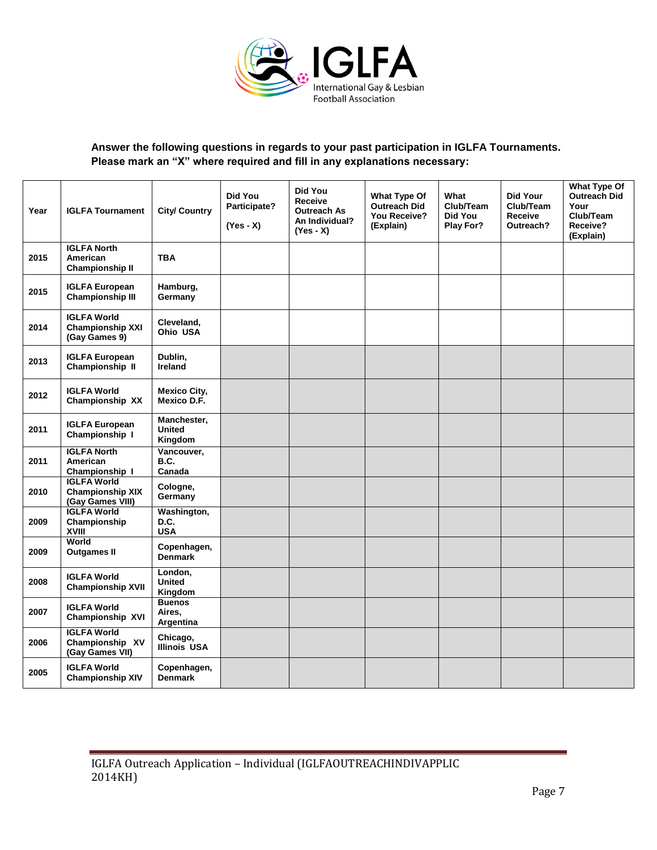

# **Answer the following questions in regards to your past participation in IGLFA Tournaments. Please mark an "X" where required and fill in any explanations necessary:**

| Year | <b>IGLFA Tournament</b>                                           | <b>City/ Country</b>                    | Did You<br>Participate?<br>$(Yes - X)$ | <b>Did You</b><br>Receive<br><b>Outreach As</b><br>An Individual?<br>(Yes - X) | What Type Of<br><b>Outreach Did</b><br>You Receive?<br>(Explain) | What<br>Club/Team<br>Did You<br><b>Play For?</b> | <b>Did Your</b><br>Club/Team<br><b>Receive</b><br>Outreach? | What Type Of<br><b>Outreach Did</b><br>Your<br>Club/Team<br>Receive?<br>(Explain) |
|------|-------------------------------------------------------------------|-----------------------------------------|----------------------------------------|--------------------------------------------------------------------------------|------------------------------------------------------------------|--------------------------------------------------|-------------------------------------------------------------|-----------------------------------------------------------------------------------|
| 2015 | <b>IGLFA North</b><br>American<br><b>Championship II</b>          | <b>TBA</b>                              |                                        |                                                                                |                                                                  |                                                  |                                                             |                                                                                   |
| 2015 | <b>IGLFA European</b><br><b>Championship III</b>                  | Hamburg,<br>Germany                     |                                        |                                                                                |                                                                  |                                                  |                                                             |                                                                                   |
| 2014 | <b>IGLFA World</b><br><b>Championship XXI</b><br>(Gay Games 9)    | Cleveland,<br>Ohio USA                  |                                        |                                                                                |                                                                  |                                                  |                                                             |                                                                                   |
| 2013 | <b>IGLFA European</b><br>Championship II                          | Dublin,<br><b>Ireland</b>               |                                        |                                                                                |                                                                  |                                                  |                                                             |                                                                                   |
| 2012 | <b>IGLFA World</b><br>Championship XX                             | <b>Mexico City,</b><br>Mexico D.F.      |                                        |                                                                                |                                                                  |                                                  |                                                             |                                                                                   |
| 2011 | <b>IGLFA European</b><br>Championship I                           | Manchester,<br><b>United</b><br>Kingdom |                                        |                                                                                |                                                                  |                                                  |                                                             |                                                                                   |
| 2011 | <b>IGLFA North</b><br>American<br>Championship I                  | Vancouver,<br>B.C.<br>Canada            |                                        |                                                                                |                                                                  |                                                  |                                                             |                                                                                   |
| 2010 | <b>IGLFA World</b><br><b>Championship XIX</b><br>(Gay Games VIII) | Cologne,<br>Germany                     |                                        |                                                                                |                                                                  |                                                  |                                                             |                                                                                   |
| 2009 | <b>IGLFA World</b><br>Championship<br><b>XVIII</b>                | Washington,<br>D.C.<br><b>USA</b>       |                                        |                                                                                |                                                                  |                                                  |                                                             |                                                                                   |
| 2009 | World<br><b>Outgames II</b>                                       | Copenhagen,<br><b>Denmark</b>           |                                        |                                                                                |                                                                  |                                                  |                                                             |                                                                                   |
| 2008 | <b>IGLFA World</b><br><b>Championship XVII</b>                    | London,<br><b>United</b><br>Kingdom     |                                        |                                                                                |                                                                  |                                                  |                                                             |                                                                                   |
| 2007 | <b>IGLFA World</b><br>Championship XVI                            | <b>Buenos</b><br>Aires,<br>Argentina    |                                        |                                                                                |                                                                  |                                                  |                                                             |                                                                                   |
| 2006 | <b>IGLFA World</b><br>Championship XV<br>(Gay Games VII)          | Chicago,<br><b>Illinois USA</b>         |                                        |                                                                                |                                                                  |                                                  |                                                             |                                                                                   |
| 2005 | <b>IGLFA World</b><br><b>Championship XIV</b>                     | Copenhagen,<br><b>Denmark</b>           |                                        |                                                                                |                                                                  |                                                  |                                                             |                                                                                   |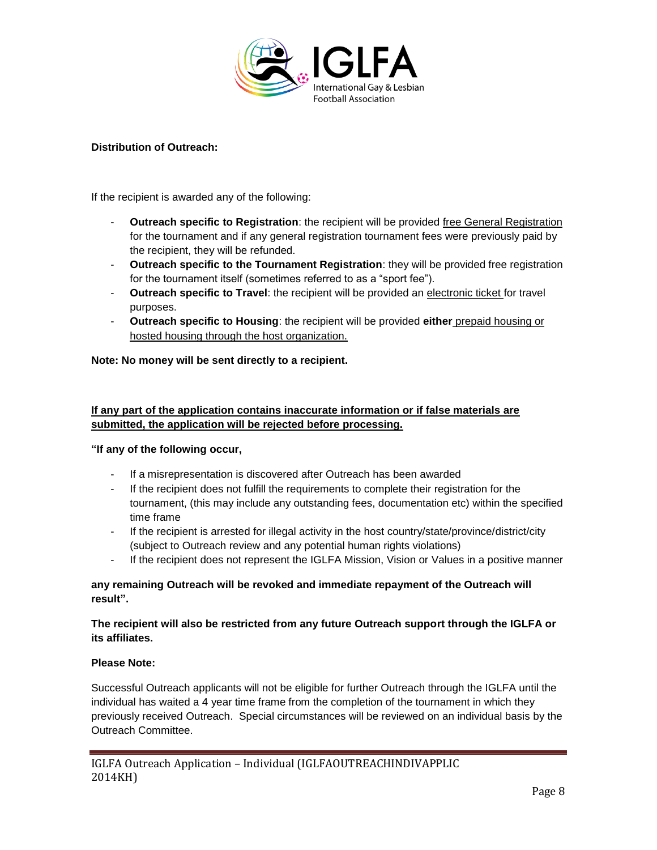

## **Distribution of Outreach:**

If the recipient is awarded any of the following:

- **Outreach specific to Registration**: the recipient will be provided free General Registration for the tournament and if any general registration tournament fees were previously paid by the recipient, they will be refunded.
- **Outreach specific to the Tournament Registration**: they will be provided free registration for the tournament itself (sometimes referred to as a "sport fee").
- **Outreach specific to Travel**: the recipient will be provided an electronic ticket for travel purposes.
- **Outreach specific to Housing**: the recipient will be provided **either** prepaid housing or hosted housing through the host organization.

## **Note: No money will be sent directly to a recipient.**

# **If any part of the application contains inaccurate information or if false materials are submitted, the application will be rejected before processing.**

## **"If any of the following occur,**

- If a misrepresentation is discovered after Outreach has been awarded
- If the recipient does not fulfill the requirements to complete their registration for the tournament, (this may include any outstanding fees, documentation etc) within the specified time frame
- If the recipient is arrested for illegal activity in the host country/state/province/district/city (subject to Outreach review and any potential human rights violations)
- If the recipient does not represent the IGLFA Mission, Vision or Values in a positive manner

## **any remaining Outreach will be revoked and immediate repayment of the Outreach will result".**

## **The recipient will also be restricted from any future Outreach support through the IGLFA or its affiliates.**

## **Please Note:**

Successful Outreach applicants will not be eligible for further Outreach through the IGLFA until the individual has waited a 4 year time frame from the completion of the tournament in which they previously received Outreach. Special circumstances will be reviewed on an individual basis by the Outreach Committee.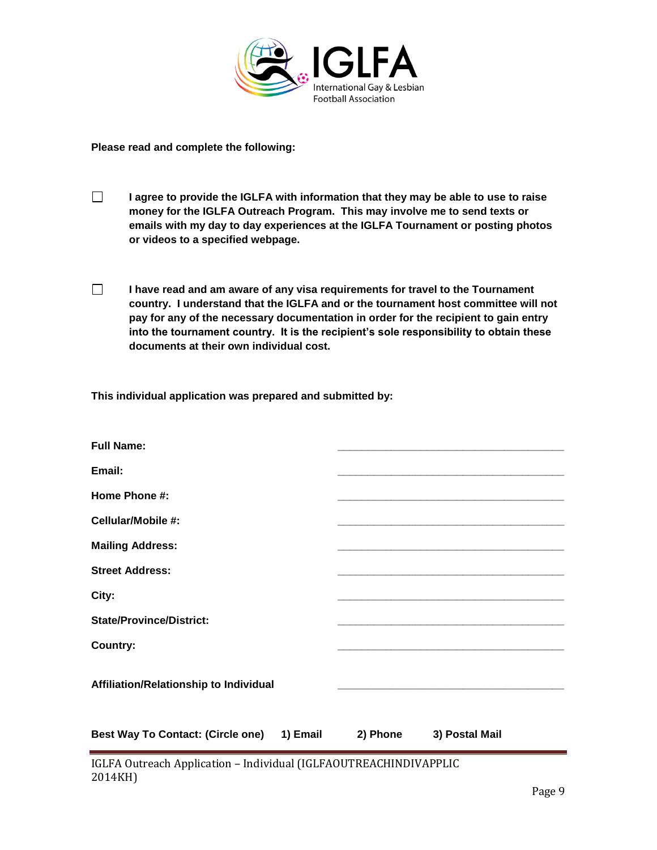

**Please read and complete the following:**

- $\Box$ **I agree to provide the IGLFA with information that they may be able to use to raise money for the IGLFA Outreach Program. This may involve me to send texts or emails with my day to day experiences at the IGLFA Tournament or posting photos or videos to a specified webpage.**
- $\Box$ **I have read and am aware of any visa requirements for travel to the Tournament country. I understand that the IGLFA and or the tournament host committee will not pay for any of the necessary documentation in order for the recipient to gain entry into the tournament country. It is the recipient's sole responsibility to obtain these documents at their own individual cost.**

**This individual application was prepared and submitted by:**

| <b>Full Name:</b>                          |          |                |
|--------------------------------------------|----------|----------------|
| Email:                                     |          |                |
| Home Phone #:                              |          |                |
| Cellular/Mobile #:                         |          |                |
| <b>Mailing Address:</b>                    |          |                |
| <b>Street Address:</b>                     |          |                |
| City:                                      |          |                |
| <b>State/Province/District:</b>            |          |                |
| Country:                                   |          |                |
| Affiliation/Relationship to Individual     |          |                |
| Best Way To Contact: (Circle one) 1) Email | 2) Phone | 3) Postal Mail |